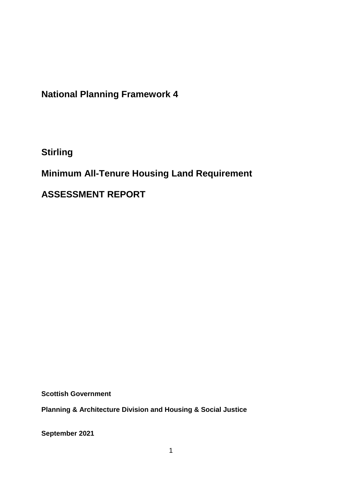**National Planning Framework 4**

**Stirling**

**Minimum All-Tenure Housing Land Requirement** 

**ASSESSMENT REPORT**

**Scottish Government**

**Planning & Architecture Division and Housing & Social Justice** 

**September 2021**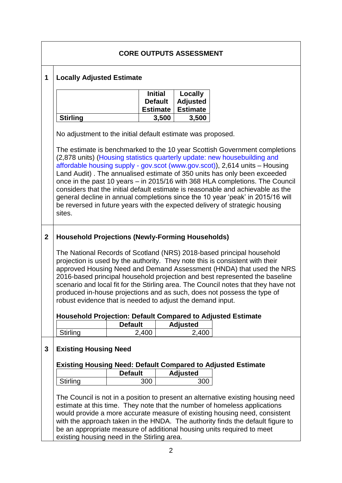|                | <b>CORE OUTPUTS ASSESSMENT</b>                                                                                                                                                                                                                                                                                                                                                                                                                                                                                                                                                                                                                                                                                                  |                |                                                     |                                               |  |  |  |
|----------------|---------------------------------------------------------------------------------------------------------------------------------------------------------------------------------------------------------------------------------------------------------------------------------------------------------------------------------------------------------------------------------------------------------------------------------------------------------------------------------------------------------------------------------------------------------------------------------------------------------------------------------------------------------------------------------------------------------------------------------|----------------|-----------------------------------------------------|-----------------------------------------------|--|--|--|
| $\mathbf 1$    | <b>Locally Adjusted Estimate</b>                                                                                                                                                                                                                                                                                                                                                                                                                                                                                                                                                                                                                                                                                                |                |                                                     |                                               |  |  |  |
|                |                                                                                                                                                                                                                                                                                                                                                                                                                                                                                                                                                                                                                                                                                                                                 |                | <b>Initial</b><br><b>Default</b><br><b>Estimate</b> | Locally<br><b>Adjusted</b><br><b>Estimate</b> |  |  |  |
|                | <b>Stirling</b>                                                                                                                                                                                                                                                                                                                                                                                                                                                                                                                                                                                                                                                                                                                 |                | 3,500                                               | 3,500                                         |  |  |  |
|                | No adjustment to the initial default estimate was proposed.<br>The estimate is benchmarked to the 10 year Scottish Government completions<br>(2,878 units) (Housing statistics quarterly update: new housebuilding and<br>affordable housing supply - gov.scot (www.gov.scot)), 2,614 units - Housing<br>Land Audit). The annualised estimate of 350 units has only been exceeded<br>once in the past 10 years - in 2015/16 with 368 HLA completions. The Council<br>considers that the initial default estimate is reasonable and achievable as the<br>general decline in annual completions since the 10 year 'peak' in 2015/16 will<br>be reversed in future years with the expected delivery of strategic housing<br>sites. |                |                                                     |                                               |  |  |  |
|                |                                                                                                                                                                                                                                                                                                                                                                                                                                                                                                                                                                                                                                                                                                                                 |                |                                                     |                                               |  |  |  |
| $\overline{2}$ | <b>Household Projections (Newly-Forming Households)</b>                                                                                                                                                                                                                                                                                                                                                                                                                                                                                                                                                                                                                                                                         |                |                                                     |                                               |  |  |  |
|                | The National Records of Scotland (NRS) 2018-based principal household<br>projection is used by the authority. They note this is consistent with their<br>approved Housing Need and Demand Assessment (HNDA) that used the NRS<br>2016-based principal household projection and best represented the baseline<br>scenario and local fit for the Stirling area. The Council notes that they have not<br>produced in-house projections and as such, does not possess the type of<br>robust evidence that is needed to adjust the demand input.                                                                                                                                                                                     |                |                                                     |                                               |  |  |  |
|                | <b>Household Projection: Default Compared to Adjusted Estimate</b>                                                                                                                                                                                                                                                                                                                                                                                                                                                                                                                                                                                                                                                              |                |                                                     |                                               |  |  |  |
|                |                                                                                                                                                                                                                                                                                                                                                                                                                                                                                                                                                                                                                                                                                                                                 | <b>Default</b> |                                                     | <b>Adjusted</b>                               |  |  |  |
|                | Stirling                                                                                                                                                                                                                                                                                                                                                                                                                                                                                                                                                                                                                                                                                                                        | 2,400          |                                                     | 2,400                                         |  |  |  |
| 3              | <b>Existing Housing Need</b>                                                                                                                                                                                                                                                                                                                                                                                                                                                                                                                                                                                                                                                                                                    |                |                                                     |                                               |  |  |  |
|                | <b>Existing Housing Need: Default Compared to Adjusted Estimate</b>                                                                                                                                                                                                                                                                                                                                                                                                                                                                                                                                                                                                                                                             |                |                                                     |                                               |  |  |  |
|                |                                                                                                                                                                                                                                                                                                                                                                                                                                                                                                                                                                                                                                                                                                                                 | <b>Default</b> |                                                     | <b>Adjusted</b>                               |  |  |  |
|                | Stirling                                                                                                                                                                                                                                                                                                                                                                                                                                                                                                                                                                                                                                                                                                                        |                | 300                                                 | 300                                           |  |  |  |
|                | The Council is not in a position to present an alternative existing housing need<br>estimate at this time. They note that the number of homeless applications<br>would provide a more accurate measure of existing housing need, consistent<br>with the approach taken in the HNDA. The authority finds the default figure to<br>be an appropriate measure of additional housing units required to meet<br>existing housing need in the Stirling area.                                                                                                                                                                                                                                                                          |                |                                                     |                                               |  |  |  |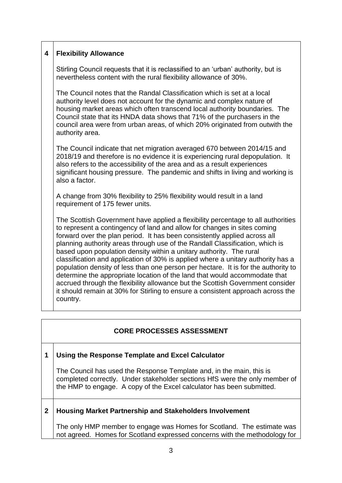## **4 Flexibility Allowance**

Stirling Council requests that it is reclassified to an 'urban' authority, but is nevertheless content with the rural flexibility allowance of 30%.

The Council notes that the Randal Classification which is set at a local authority level does not account for the dynamic and complex nature of housing market areas which often transcend local authority boundaries. The Council state that its HNDA data shows that 71% of the purchasers in the council area were from urban areas, of which 20% originated from outwith the authority area.

The Council indicate that net migration averaged 670 between 2014/15 and 2018/19 and therefore is no evidence it is experiencing rural depopulation. It also refers to the accessibility of the area and as a result experiences significant housing pressure. The pandemic and shifts in living and working is also a factor.

A change from 30% flexibility to 25% flexibility would result in a land requirement of 175 fewer units.

The Scottish Government have applied a flexibility percentage to all authorities to represent a contingency of land and allow for changes in sites coming forward over the plan period. It has been consistently applied across all planning authority areas through use of the Randall Classification, which is based upon population density within a unitary authority. The rural classification and application of 30% is applied where a unitary authority has a population density of less than one person per hectare. It is for the authority to determine the appropriate location of the land that would accommodate that accrued through the flexibility allowance but the Scottish Government consider it should remain at 30% for Stirling to ensure a consistent approach across the country.

## **CORE PROCESSES ASSESSMENT**

## **1 Using the Response Template and Excel Calculator**

The Council has used the Response Template and, in the main, this is completed correctly. Under stakeholder sections HfS were the only member of the HMP to engage. A copy of the Excel calculator has been submitted.

## **2 Housing Market Partnership and Stakeholders Involvement**

The only HMP member to engage was Homes for Scotland. The estimate was not agreed. Homes for Scotland expressed concerns with the methodology for